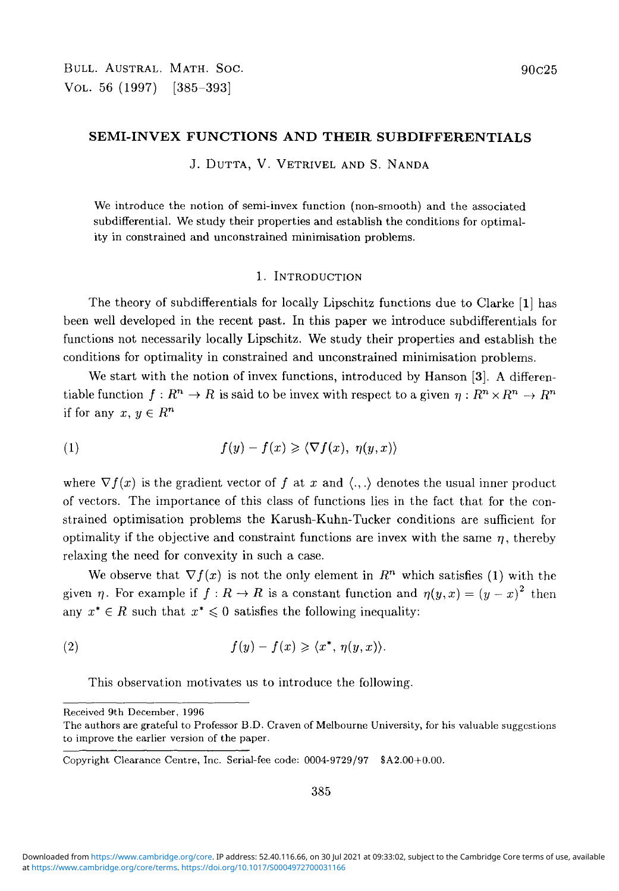### **SEMI-INVEX FUNCTIONS AND THEIR SUBDIFFERENTIALS**

J. DUTTA, V. VETRIVEL AND S. NANDA

We introduce the notion of semi-invex function (non-smooth) and the associated subdifferential. We study their properties and establish the conditions for optimality in constrained and unconstrained minimisation problems.

#### 1. INTRODUCTION

The theory of subdifferentials for locally Lipschitz functions due to Clarke [1] has been well developed in the recent past. In this paper we introduce subdifferentials for functions not necessarily locally Lipschitz. We study their properties and establish the conditions for optimality in constrained and unconstrained minimisation problems.

We start with the notion of invex functions, introduced by Hanson [3]. A differen- $X$  tiable function  $f: R^n \to R$  is said to be invex with respect to a given  $\eta: R^n \times R^n \to R^n$ if for any  $x, y \in R^n$ 

(1) 
$$
f(y) - f(x) \geq \langle \nabla f(x), \eta(y,x) \rangle
$$

where  $\nabla f(x)$  is the gradient vector of f at x and  $\langle ., . \rangle$  denotes the usual inner product of vectors. The importance of this class of functions lies in the fact that for the constrained optimisation problems the Karush-Kuhn-Tucker conditions are sufficient for optimality if the objective and constraint functions are invex with the same  $\eta$ , thereby relaxing the need for convexity in such a case.

We observe that  $\nabla f(x)$  is not the only element in  $R^n$  which satisfies (1) with the given  $\eta$ . For example if  $f : R \to R$  is a constant function and  $\eta(y,x) = (y-x)^2$  then any  $x^* \in R$  such that  $x^* \leq 0$  satisfies the following inequality:

(2) 
$$
f(y) - f(x) \geq \langle x^*, \eta(y,x) \rangle.
$$

This observation motivates us to introduce the following.

Received 9th December, 1996

The authors are grateful to Professor B.D. Craven of Melbourne University, for his valuable suggestions to improve the earlier version of the paper.

Copyright Clearance Centre, Inc. Serial-fee code: 0004-9729/97 \$A2.00+0.00.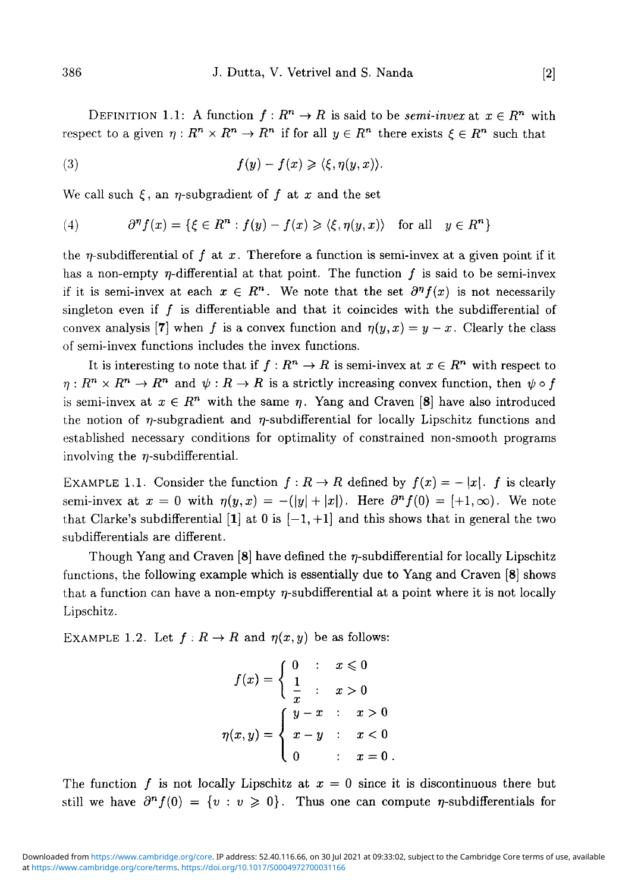DEFINITION 1.1: A function  $f: R^n \to R$  is said to be *semi-invex* at  $x \in R^n$  with respect to a given  $\eta: R^n \times R^n \to R^n$  if for all  $y \in R^n$  there exists  $\xi \in R^n$  such that

(3) 
$$
f(y) - f(x) \geqslant \langle \xi, \eta(y, x) \rangle.
$$

We call such  $\xi$ , an  $\eta$ -subgradient of  $f$  at  $x$  and the set

(4) 
$$
\partial^{\eta} f(x) = \{ \xi \in R^n : f(y) - f(x) \geq \langle \xi, \eta(y, x) \rangle \text{ for all } y \in R^n \}
$$

the  $\eta$ -subdifferential of f at x. Therefore a function is semi-invex at a given point if it has a non-empty  $\eta$ -differential at that point. The function f is said to be semi-invex if it is semi-invex at each  $x \in R^n$ . We note that the set  $\partial^n f(x)$  is not necessarily singleton even if  $f$  is differentiable and that it coincides with the subdifferential of convex analysis [7] when f is a convex function and  $\eta(y, x) = y - x$ . Clearly the class of semi-invex functions includes the invex functions.

It is interesting to note that if  $f : R^n \to R$  is semi-invex at  $x \in R^n$  with respect to  $\eta: R^n \times R^n \to R^n$  and  $\psi: R \to R$  is a strictly increasing convex function, then  $\psi \circ f$ is semi-invex at  $x \in R^n$  with the same  $\eta$ . Yang and Craven [8] have also introduced the notion of  $\eta$ -subgradient and  $\eta$ -subdifferential for locally Lipschitz functions and established necessary conditions for optimality of constrained non-smooth programs involving the  $\eta$ -subdifferential.

EXAMPLE 1.1. Consider the function  $f : R \to R$  defined by  $f(x) = - |x|$ . *f* is clearly semi-invex at  $x = 0$  with  $\eta(y, x) = -(|y| + |x|)$ . Here  $\partial^n f(0) = (+1, \infty)$ . We note that Clarke's subdifferential [1] at 0 is  $[-1,+1]$  and this shows that in general the two subdifferentials are different.

Though Yang and Craven  $[8]$  have defined the  $\eta$ -subdifferential for locally Lipschitz functions, the following example which is essentially due to Yang and Craven [8] shows that a function can have a non-empty  $\eta$ -subdifferential at a point where it is not locally Lipschitz.

EXAMPLE 1.2. Let  $f : R \to R$  and  $\eta(x, y)$  be as follows:

$$
f(x) = \begin{cases} 0 & \text{: } x \leq 0 \\ \frac{1}{x} & \text{: } x > 0 \end{cases}
$$

$$
\eta(x, y) = \begin{cases} y - x & \text{: } x > 0 \\ x - y & \text{: } x < 0 \\ 0 & \text{: } x = 0 \end{cases}
$$

The function f is not locally Lipschitz at  $x = 0$  since it is discontinuous there but still we have  $\partial^n f(0) = \{v : v \ge 0\}$ . Thus one can compute *n*-subdifferentials for The function / is not locally Lipschitz at *x =* 0 since it is discontinuous there but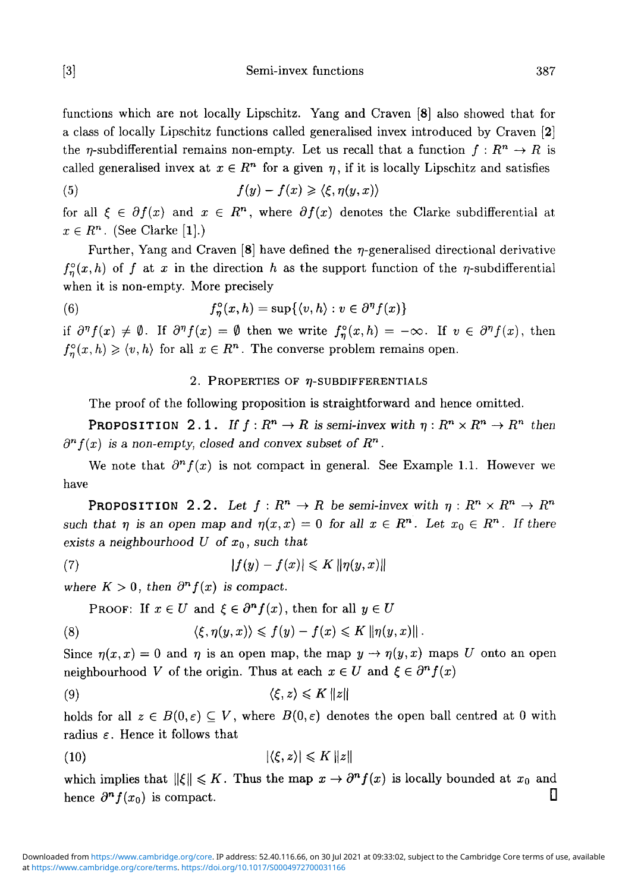[3] Semi-invex functions 387

functions which are not locally Lipschitz. Yang and Craven [8] also showed that for a class of locally Lipschitz functions called generalised invex introduced by Craven [2] the  $\eta$ -subdifferential remains non-empty. Let us recall that a function  $f: R^n \to R$  is called generalised invex at  $x \in R^n$  for a given  $\eta$ , if it is locally Lipschitz and satisfies

(5) 
$$
f(y) - f(x) \geqslant \langle \xi, \eta(y, x) \rangle
$$

for all  $\xi \in \partial f(x)$  and  $x \in R^n$ , where  $\partial f(x)$  denotes the Clarke subdifferential at  $x \in R^n$ . (See Clarke [1].)

Further, Yang and Craven [8] have defined the  $\eta$ -generalised directional derivative  $f_n^{\circ}(x,h)$  of f at x in the direction h as the support function of the  $\eta$ -subdifferential when it is non-empty. More precisely

(6) 
$$
f_{\eta}^{\circ}(x,h) = \sup \{ \langle v, h \rangle : v \in \partial^{\eta} f(x) \}
$$

if  $\partial^{\eta} f(x) \neq \emptyset$ . If  $\partial^{\eta} f(x) = \emptyset$  then we write  $f_{\eta}^{\circ}(x,h) = -\infty$ . If  $v \in \partial^{\eta} f(x)$ , then  $f_{\eta}^{\circ}(x, h) \geq \langle v, h \rangle$  for all  $x \in R^{n}$ . The converse problem remains open.

## 2. PROPERTIES OF  $\eta$ -SUBDIFFERENTIALS

The proof of the following proposition is straightforward and hence omitted.

PROPOSITION 2.1. If  $f: R^n \to R$  is semi-invex with  $\eta: R^n \times R^n \to R^n$  then  $\partial^n f(x)$  is a non-empty, closed and convex subset of  $R^n$ .

We note that  $\partial^n f(x)$  is not compact in general. See Example 1.1. However we have

PROPOSITION 2.2. Let  $f: R^n \to R$  be semi-invex with  $\eta: R^n \times R^n \to R^n$ *such that*  $\eta$  *is an open map and*  $\eta(x,x) = 0$  *for all*  $x \in R^n$ *. Let*  $x_0 \in R^n$ *. If there exists* a *neighbourhood U of XQ, such that*

$$
(7) \t\t\t |f(y) - f(x)| \leqslant K \|\eta(y, x)\|
$$

where  $K > 0$ , then  $\partial^n f(x)$  is compact.

PROOF: If  $x \in U$  and  $\xi \in \partial^n f(x)$ , then for all  $y \in U$ 

(8) 
$$
\langle \xi, \eta(y,x) \rangle \leqslant f(y) - f(x) \leqslant K \|\eta(y,x)\|.
$$

Since  $\eta(x, x) = 0$  and  $\eta$  is an open map, the map  $y \to \eta(y, x)$  maps U onto an open neighbourhood *V* of the origin. Thus at each  $x \in U$  and  $\xi \in \partial^n f(x)$ 

$$
\langle \xi, z \rangle \leqslant K \, \|z\|
$$

holds for all  $z \in B(0, \varepsilon) \subseteq V$ , where  $B(0, \varepsilon)$  denotes the open ball centred at 0 with radius  $\varepsilon$ . Hence it follows that

$$
|\langle \xi, z \rangle| \leqslant K \|z\|
$$

which implies that  $\|\xi\| \leqslant K$ . Thus the map  $x \to \partial^n f(x)$  is locally bounded at  $x_0$  and hence  $\partial^n f(x_0)$  is compact.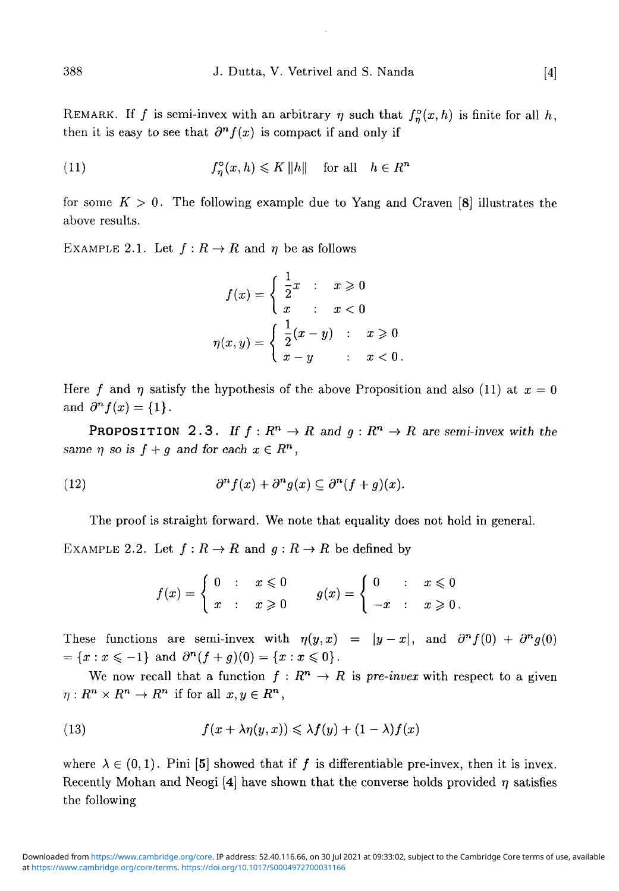REMARK. If f is semi-invex with an arbitrary  $\eta$  such that  $f_{\eta}^{\circ}(x, h)$  is finite for all h, then it is easy to see that  $\partial^n f(x)$  is compact if and only if

(11) 
$$
f_{\eta}^{\circ}(x, h) \leqslant K ||h|| \quad \text{for all} \quad h \in R^{n}
$$

for some  $K > 0$ . The following example due to Yang and Craven [8] illustrates the above results.

EXAMPLE 2.1. Let  $f: R \to R$  and  $\eta$  be as follows

$$
f(x) = \begin{cases} \frac{1}{2}x & \text{: } x \geq 0 \\ x & \text{: } x < 0 \end{cases}
$$

$$
\eta(x, y) = \begin{cases} \frac{1}{2}(x - y) & \text{: } x \geq 0 \\ x - y & \text{: } x < 0 \end{cases}
$$

Here f and  $\eta$  satisfy the hypothesis of the above Proposition and also (11) at  $x = 0$ and  $\partial^n f(x) = \{1\}.$ 

PROPOSITION 2.3. If  $f: R^n \to R$  and  $g: R^n \to R$  are semi-invex with the *same*  $\eta$  *so is*  $f + g$  *and for each*  $x \in R^n$ ,

(12) 
$$
\partial^n f(x) + \partial^n g(x) \subseteq \partial^n (f+g)(x).
$$

The proof is straight forward. We note that equality does not hold in general.

EXAMPLE 2.2. Let  $f: R \to R$  and  $g: R \to R$  be defined by

$$
f(x) = \begin{cases} 0 & \colon & x \leq 0 \\ x & \colon & x \geq 0 \end{cases} \qquad g(x) = \begin{cases} 0 & \colon & x \leq 0 \\ -x & \colon & x \geq 0 \end{cases}.
$$

These functions are semi-invex with  $\eta(y,x) = |y-x|$ , and  $\partial^n f(0) + \partial^n g(0)$  $= \{x : x \leq -1\}$  and  $\partial^n(f + g)(0) = \{x : x \leq 0\}.$ 

We now recall that a function  $f: R^n \to R$  is pre-invex with respect to a given  $\eta: R^n \times R^n \to R^n$  if for all  $x, y \in R^n$ ,

(13) 
$$
f(x + \lambda \eta(y, x)) \leq \lambda f(y) + (1 - \lambda)f(x)
$$

where  $\lambda \in (0,1)$ . Pini [5] showed that if f is differentiable pre-invex, then it is invex. Recently Mohan and Neogi [4] have shown that the converse holds provided  $\eta$  satisfies the following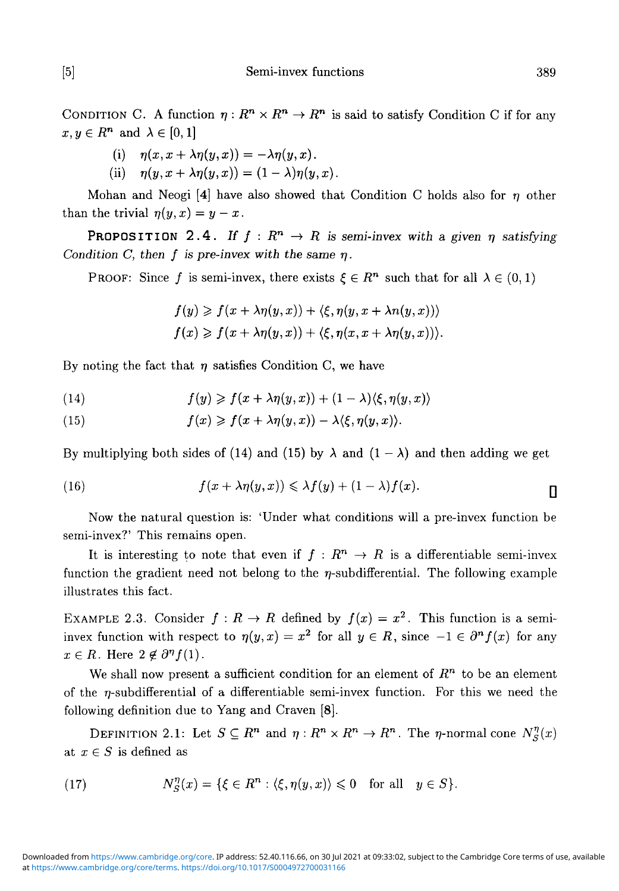[5] Semi-invex functions 389

CONDITION C. A function  $\eta: R^n \times R^n \to R^n$  is said to satisfy Condition C if for any  $x, y \in R^n$  and  $\lambda \in [0,1]$ 

(i) 
$$
\eta(x, x + \lambda \eta(y, x)) = -\lambda \eta(y, x).
$$

(ii) 
$$
\eta(y, x + \lambda \eta(y, x)) = (1 - \lambda) \eta(y, x).
$$

Mohan and Neogi [4] have also showed that Condition C holds also for *n* other than the trivial  $\eta(y, x) = y - x$ .

PROPOSITION 2.4. If  $f: R^n \to R$  is semi-invex with a given  $\eta$  satisfying *Condition C, then f is pre-invex with the same*  $\eta$ *.* 

PROOF: Since f is semi-invex, there exists  $\xi \in R^n$  such that for all  $\lambda \in (0,1)$ 

$$
f(y) \geq f(x + \lambda \eta(y, x)) + \langle \xi, \eta(y, x + \lambda n(y, x)) \rangle
$$
  

$$
f(x) \geq f(x + \lambda \eta(y, x)) + \langle \xi, \eta(x, x + \lambda \eta(y, x)) \rangle.
$$

By noting the fact that  $\eta$  satisfies Condition C, we have

(14) 
$$
f(y) \geqslant f(x + \lambda \eta(y,x)) + (1 - \lambda) \langle \xi, \eta(y,x) \rangle
$$

(15) 
$$
f(x) \geqslant f(x + \lambda \eta(y,x)) - \lambda \langle \xi, \eta(y,x) \rangle.
$$

By multiplying both sides of (14) and (15) by  $\lambda$  and  $(1 - \lambda)$  and then adding we get

(16) 
$$
f(x + \lambda \eta(y,x)) \leq \lambda f(y) + (1 - \lambda)f(x).
$$

Now the natural question is: 'Under what conditions will a pre-invex function be semi-invex?' This remains open.

It is interesting to note that even if  $f : R^n \to R$  is a differentiable semi-invex function the gradient need not belong to the  $\eta$ -subdifferential. The following example illustrates this fact.

EXAMPLE 2.3. Consider  $f : R \to R$  defined by  $f(x) = x^2$ . This function is a semiinvex function with respect to  $\eta(y,x) = x^2$  for all  $y \in R$ , since  $-1 \in \partial^n f(x)$  for any  $x \in R$ . Here  $2 \notin \partial^n f(1)$ .

We shall now present a sufficient condition for an element of  $R^n$  to be an element of the  $n$ -subdifferential of a differentiable semi-invex function. For this we need the following definition due to Yang and Craven [8].

DEFINITION 2.1: Let  $S \subseteq R^n$  and  $\eta : R^n \times R^n \to R^n$ . The  $\eta$ -normal cone  $N_S^{\eta}(x)$ at  $x \in S$  is defined as

(17) 
$$
N_S^{\eta}(x) = \{\xi \in R^n : \langle \xi, \eta(y, x) \rangle \leq 0 \text{ for all } y \in S\}.
$$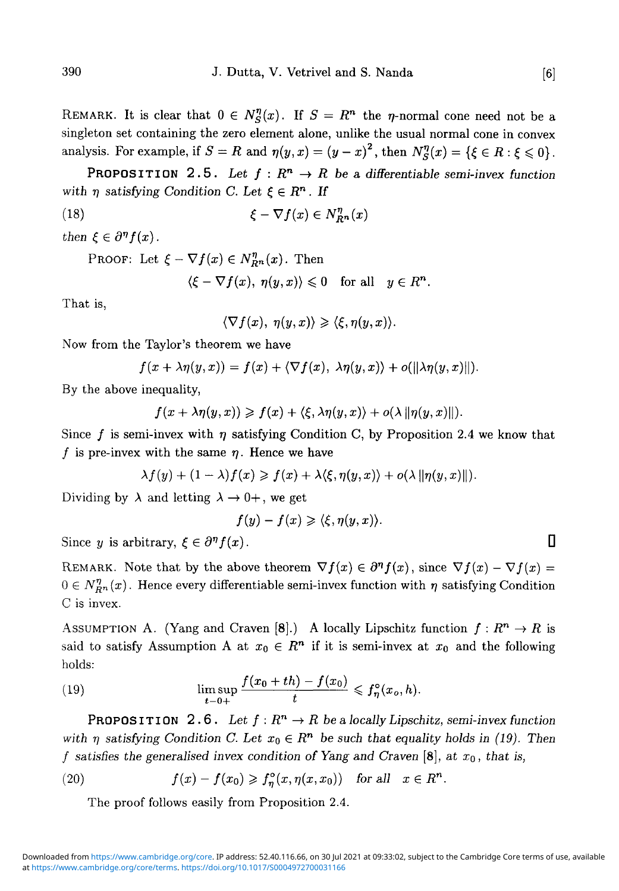REMARK. It is clear that  $0 \in N_S^{\eta}(x)$ . If  $S=R^n$  the  $\eta$ -normal cone need not be a singleton set containing the zero element alone, unlike the usual normal cone in convex analysis. For example, if  $S = R$  and  $\eta(y, x) = (y - x)^2$ , then  $N_S^{\eta}(x) = \{\xi \in R : \xi \leq 0\}$ .

PROPOSITION 2.5. Let  $f: R^n \to R$  be a differentiable semi-invex function with  $\eta$  satisfying Condition C. Let  $\xi \in R^n$ . If

(18) 
$$
\xi - \nabla f(x) \in N_{R^n}^{\eta}(x)
$$

*then*  $\xi \in \partial^n f(x)$ .

PROOF: Let  $\xi - \nabla f(x) \in N_{R}^{\eta}(x)$ . Then

$$
\langle \xi - \nabla f(x), \eta(y, x) \rangle \leq 0 \quad \text{for all} \quad y \in R^n.
$$

That is,

$$
\langle \nabla f(x), \eta(y,x) \rangle \geqslant \langle \xi, \eta(y,x) \rangle.
$$

Now from the Taylor's theorem we have

$$
f(x + \lambda \eta(y,x)) = f(x) + \langle \nabla f(x), \ \lambda \eta(y,x) \rangle + o(\|\lambda \eta(y,x)\|).
$$

By the above inequality,

$$
f(x + \lambda \eta(y, x)) \geqslant f(x) + \langle \xi, \lambda \eta(y, x) \rangle + o(\lambda || \eta(y, x) ||).
$$

Since f is semi-invex with  $\eta$  satisfying Condition C, by Proposition 2.4 we know that f is pre-invex with the same  $\eta$ . Hence we have

$$
\lambda f(y) + (1 - \lambda) f(x) \geqslant f(x) + \lambda \langle \xi, \eta(y, x) \rangle + o(\lambda || \eta(y, x) ||).
$$

Dividing by  $\lambda$  and letting  $\lambda \to 0^+$ , we get

$$
f(y)-f(x)\geqslant \langle \xi,\eta(y,x)\rangle.
$$

Since *y* is arbitrary,  $\xi \in \partial^n f(x)$ .  $f(x)$ .

REMARK. Note that by the above theorem  $\nabla f(x) \in \partial^n f(x)$ , since  $\nabla f(x) - \nabla f(x) =$  $0 \in N_{R}^n(x)$ . Hence every differentiable semi-invex function with  $\eta$  satisfying Condition C is invex.

ASSUMPTION A. (Yang and Craven [8].) A locally Lipschitz function  $f: R^n \to R$  is said to satisfy Assumption A at  $x_0 \in R^n$  if it is semi-invex at  $x_0$  and the following holds:

(19) 
$$
\limsup_{t \to 0+} \frac{f(x_0 + th) - f(x_0)}{t} \leq f_{\eta}^{\circ}(x_o, h).
$$

**PROPOSITION** 2.6. Let  $f: R^n \to R$  be a locally Lipschitz, semi-invex function with  $\eta$  satisfying Condition C. Let  $x_0 \in R^n$  be such that equality holds in (19). Then *f satisfies the generalised invex condition of Yang and Craven* [8], at *XQ, that is,*

(20) 
$$
f(x) - f(x_0) \geqslant f_{\eta}^{\circ}(x, \eta(x, x_0)) \text{ for all } x \in R^n.
$$

The proof follows easily from Proposition 2.4.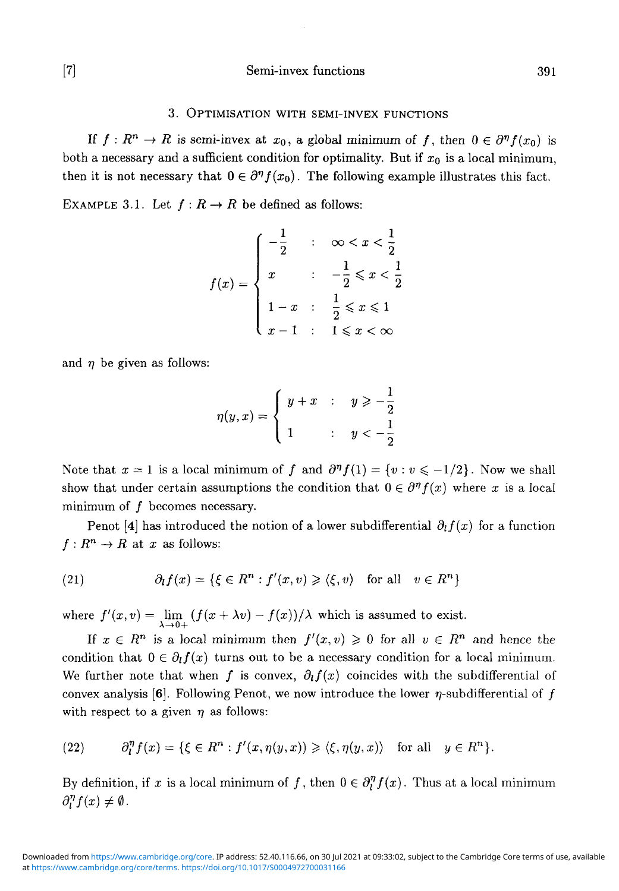## [7] Semi-invex functions 391

# 3. OPTIMISATION WITH SEMI-INVEX FUNCTIONS

If  $f: R^n \to R$  is semi-invex at  $x_0$ , a global minimum of f, then  $0 \in \partial^n f(x_0)$  is both a necessary and a sufficient condition for optimality. But if  $x_0$  is a local minimum, then it is not necessary that  $0 \in \partial^n f(x_0)$ . The following example illustrates this fact.

EXAMPLE 3.1. Let  $f: R \to R$  be defined as follows:

$$
f(x) = \begin{cases} -\frac{1}{2} & \text{if } x < x < \frac{1}{2} \\ x & \text{if } x < \frac{1}{2} \le x < \frac{1}{2} \\ 1 - x & \text{if } \frac{1}{2} \le x \le 1 \\ x - 1 & \text{if } 1 \le x < \infty \end{cases}
$$

and  $\eta$  be given as follows:

$$
\eta(y,x) = \begin{cases} y+x & : \quad y \geqslant -\frac{1}{2} \\ 1 & : \quad y < -\frac{1}{2} \end{cases}
$$

Note that  $x = 1$  is a local minimum of f and  $\partial^{\eta} f(1) = \{v : v \leq -1/2\}$ . Now we shall show that under certain assumptions the condition that  $0 \in \partial^n f(x)$  where x is a local minimum of  $f$  becomes necessary.

Penot [4] has introduced the notion of a lower subdifferential  $\partial_l f(x)$  for a function  $f: R^n \to R$  at x as follows:

(21) 
$$
\partial_l f(x) = \{ \xi \in R^n : f'(x, v) \geq \langle \xi, v \rangle \text{ for all } v \in R^n \}
$$

where  $f'(x,v) = \lim_{\lambda \to 0+} (f(x + \lambda v) - f(x))/\lambda$  which is assumed to exist.

If  $x \in R^n$  is a local minimum then  $f'(x, v) \geq 0$  for all  $v \in R^n$  and hence the condition that  $0 \in \partial_l f(x)$  turns out to be a necessary condition for a local minimum. We further note that when f is convex,  $\partial_t f(x)$  coincides with the subdifferential of convex analysis [6]. Following Penot, we now introduce the lower  $\eta$ -subdifferential of f with respect to a given  $\eta$  as follows:

(22) 
$$
\partial_l^{\eta} f(x) = \{ \xi \in R^n : f'(x, \eta(y, x)) \geq \langle \xi, \eta(y, x) \rangle \text{ for all } y \in R^n \}.
$$

By definition, if x is a local minimum of f, then  $0 \in \partial_l^{\eta} f(x)$ . Thus at a local minimum  $\partial_l^{\eta} f(x) \neq \emptyset$ .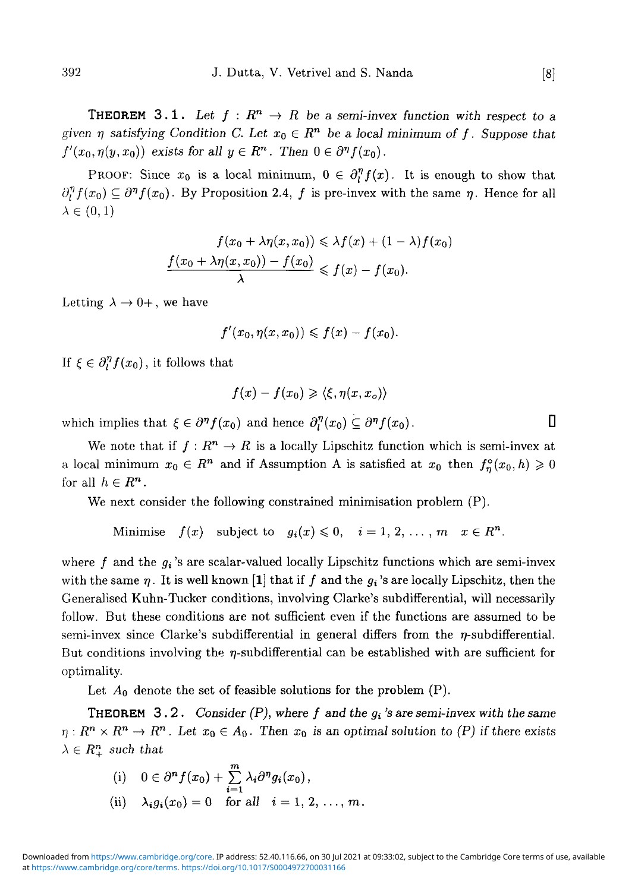**THEOREM** 3.1. Let  $f: R^n \to R$  be a semi-invex function with respect to a *given*  $\eta$  satisfying Condition C. Let  $x_0 \in R^n$  be a local minimum of f. Suppose that  $f'(x_0, \eta(y, x_0))$  exists for all  $y \in R^n$ . Then  $0 \in \partial^n f(x_0)$ .

PROOF: Since  $x_0$  is a local minimum,  $0 \in \partial_l^n f(x)$ . It is enough to show that  $\partial_{\eta}^{\eta} f(x_0) \subseteq \partial^{\eta} f(x_0)$ . By Proposition 2.4, f is pre-invex with the same  $\eta$ . Hence for all  $\lambda \in (0,1)$ 

$$
f(x_0 + \lambda \eta(x, x_0)) \leq \lambda f(x) + (1 - \lambda) f(x_0)
$$

$$
\frac{f(x_0 + \lambda \eta(x, x_0)) - f(x_0)}{\lambda} \leq f(x) - f(x_0).
$$

Letting  $\lambda \rightarrow 0^+$ , we have

$$
f'(x_0, \eta(x, x_0)) \leq f(x) - f(x_0).
$$

If  $\xi \in \partial_l^n f(x_0)$ , it follows that

$$
f(x) - f(x_0) \geqslant \langle \xi, \eta(x, x_o) \rangle
$$

which implies that  $\xi \in \partial^n f(x_0)$  and hence  $\partial_l^n(x_0) \subseteq \partial^n f(x_0)$ .

We note that if  $f : R^n \to R$  is a locally Lipschitz function which is semi-invex at a local minimum  $x_0 \in R^n$  and if Assumption A is satisfied at  $x_0$  then  $f_n^{\circ}(x_0, h) \geq 0$ for all  $h \in R^n$ .

We next consider the following constrained minimisation problem (P).

Minimise  $f(x)$  subject to  $g_i(x) \leq 0$ ,  $i = 1, 2, ..., m$   $x \in R^n$ .

where  $f$  and the  $g_i$ 's are scalar-valued locally Lipschitz functions which are semi-invex with the same  $\eta$ . It is well known [1] that if f and the  $g_i$ 's are locally Lipschitz, then the Generalised Kuhn-Tucker conditions, involving Clarke's subdifferential, will necessarily follow. But these conditions are not sufficient even if the functions are assumed to be semi-invex since Clarke's subdifferential in general differs from the  $\eta$ -subdifferential. But conditions involving the  $\eta$ -subdifferential can be established with are sufficient for optimality.

Let  $A_0$  denote the set of feasible solutions for the problem  $(P)$ .

**THEOREM** 3.2. *Consider (P), where f and the*  $g_i$ *'s are semi-invex with the same*  $\eta: R^n \times R^n \to R^n$ . Let  $x_0 \in A_0$ . Then  $x_0$  is an optimal solution to (P) if there exists  $\lambda \in R_+^n$  such that

(i) 
$$
0 \in \partial^n f(x_0) + \sum_{i=1}^m \lambda_i \partial^n g_i(x_0)
$$
,  
\n(ii)  $\lambda_i g_i(x_0) = 0$  for all  $i = 1, 2, ..., m$ .